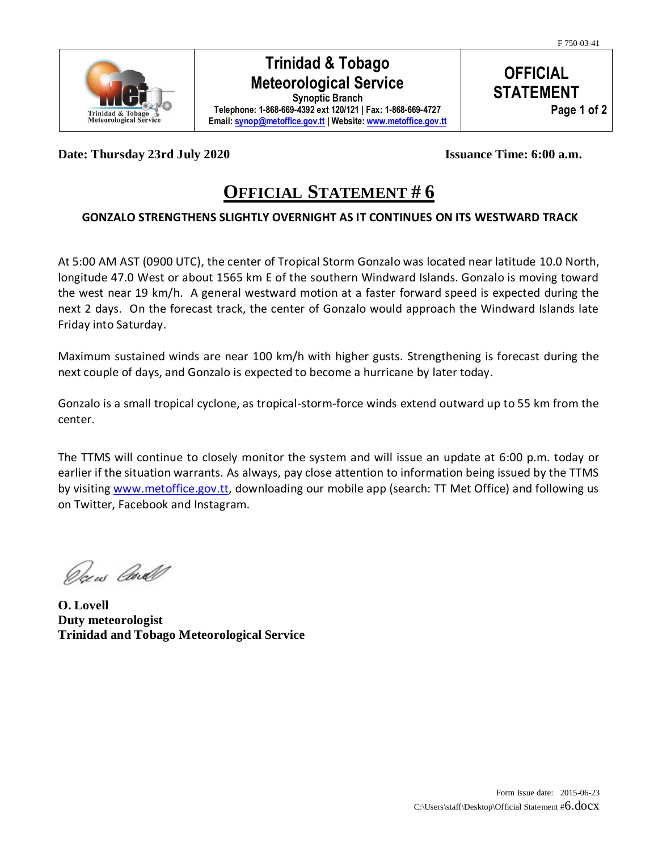

### **Trinidad & Tobago Meteorological Service**

**Synoptic Branch Telephone: 1-868-669-4392 ext 120/121 | Fax: 1-868-669-4727 Email[: synop@metoffice.gov.tt](mailto:synop@metoffice.gov.tt) | Website[: www.metoffice.gov.tt](http://www.metoffice.gov.tt/)**

**OFFICIAL STATEMENT Page 1 of 2**

**Date: Thursday 23rd July 2020 Issuance Time: 6:00 a.m.**

# **OFFICIAL STATEMENT # 6**

#### **GONZALO STRENGTHENS SLIGHTLY OVERNIGHT AS IT CONTINUES ON ITS WESTWARD TRACK**

At 5:00 AM AST (0900 UTC), the center of Tropical Storm Gonzalo was located near latitude 10.0 North, longitude 47.0 West or about 1565 km E of the southern Windward Islands. Gonzalo is moving toward the west near 19 km/h. A general westward motion at a faster forward speed is expected during the next 2 days. On the forecast track, the center of Gonzalo would approach the Windward Islands late Friday into Saturday.

Maximum sustained winds are near 100 km/h with higher gusts. Strengthening is forecast during the next couple of days, and Gonzalo is expected to become a hurricane by later today.

Gonzalo is a small tropical cyclone, as tropical-storm-force winds extend outward up to 55 km from the center.

The TTMS will continue to closely monitor the system and will issue an update at 6:00 p.m. today or earlier if the situation warrants. As always, pay close attention to information being issued by the TTMS by visiting [www.metoffice.gov.tt,](http://www.metoffice.gov.tt/) downloading our mobile app (search: TT Met Office) and following us on Twitter, Facebook and Instagram.

Decus Carl

**O. Lovell Duty meteorologist Trinidad and Tobago Meteorological Service**